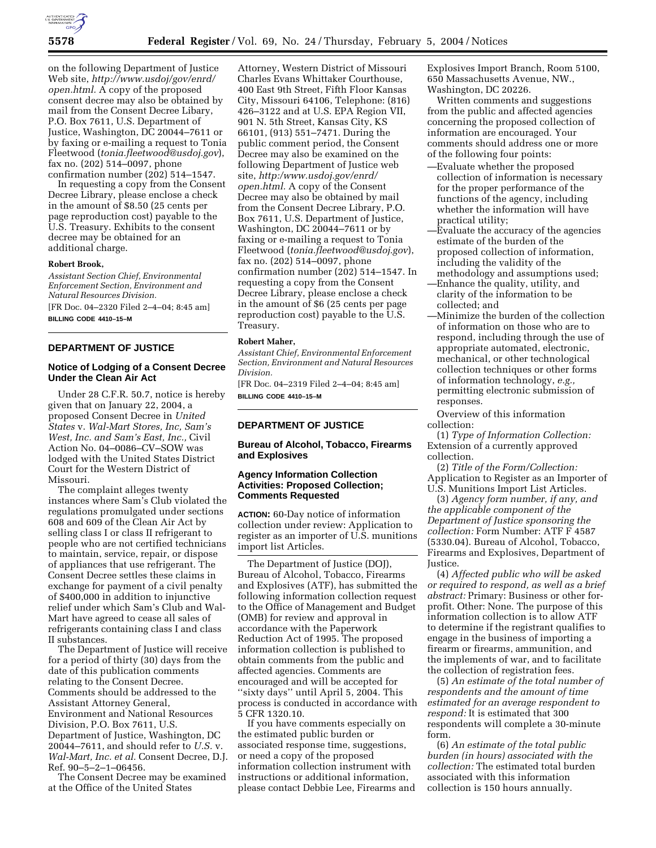

on the following Department of Justice Web site, *http://www.usdoj/gov/enrd/ open.html.* A copy of the proposed consent decree may also be obtained by mail from the Consent Decree Libary, P.O. Box 7611, U.S. Department of Justice, Washington, DC 20044–7611 or by faxing or e-mailing a request to Tonia Fleetwood (*tonia.fleetwood@usdoj.gov*), fax no. (202) 514–0097, phone confirmation number (202) 514–1547.

In requesting a copy from the Consent Decree Library, please enclose a check in the amount of \$8.50 (25 cents per page reproduction cost) payable to the U.S. Treasury. Exhibits to the consent decree may be obtained for an additional charge.

### **Robert Brook,**

*Assistant Section Chief, Environmental Enforcement Section, Environment and Natural Resources Division.*

[FR Doc. 04–2320 Filed 2–4–04; 8:45 am] **BILLING CODE 4410–15–M**

## **DEPARTMENT OF JUSTICE**

### **Notice of Lodging of a Consent Decree Under the Clean Air Act**

Under 28 C.F.R. 50.7, notice is hereby given that on January 22, 2004, a proposed Consent Decree in *United States* v. *Wal-Mart Stores, Inc, Sam's West, Inc. and Sam's East, Inc.,* Civil Action No. 04–0086–CV–SOW was lodged with the United States District Court for the Western District of Missouri.

The complaint alleges twenty instances where Sam's Club violated the regulations promulgated under sections 608 and 609 of the Clean Air Act by selling class I or class II refrigerant to people who are not certified technicians to maintain, service, repair, or dispose of appliances that use refrigerant. The Consent Decree settles these claims in exchange for payment of a civil penalty of \$400,000 in addition to injunctive relief under which Sam's Club and Wal-Mart have agreed to cease all sales of refrigerants containing class I and class II substances.

The Department of Justice will receive for a period of thirty (30) days from the date of this publication comments relating to the Consent Decree. Comments should be addressed to the Assistant Attorney General, Environment and National Resources Division, P.O. Box 7611, U.S. Department of Justice, Washington, DC 20044–7611, and should refer to *U.S.* v. *Wal-Mart, Inc. et al.* Consent Decree, D.J. Ref. 90–5–2–1–06456.

The Consent Decree may be examined at the Office of the United States

Attorney, Western District of Missouri Charles Evans Whittaker Courthouse, 400 East 9th Street, Fifth Floor Kansas City, Missouri 64106, Telephone: (816) 426–3122 and at U.S. EPA Region VII, 901 N. 5th Street, Kansas City, KS 66101, (913) 551–7471. During the public comment period, the Consent Decree may also be examined on the following Department of Justice web site, *http:/www.usdoj.gov/enrd/ open.html.* A copy of the Consent Decree may also be obtained by mail from the Consent Decree Library, P.O. Box 7611, U.S. Department of Justice, Washington, DC 20044–7611 or by faxing or e-mailing a request to Tonia Fleetwood (*tonia.fleetwood@usdoj.gov*), fax no. (202) 514–0097, phone confirmation number (202) 514–1547. In requesting a copy from the Consent Decree Library, please enclose a check in the amount of \$6 (25 cents per page reproduction cost) payable to the U.S. Treasury.

### **Robert Maher,**

*Assistant Chief, Environmental Enforcement Section, Environment and Natural Resources Division.* [FR Doc. 04–2319 Filed 2–4–04; 8:45 am]

**BILLING CODE 4410–15–M**

## **DEPARTMENT OF JUSTICE**

### **Bureau of Alcohol, Tobacco, Firearms and Explosives**

## **Agency Information Collection Activities: Proposed Collection; Comments Requested**

**ACTION:** 60-Day notice of information collection under review: Application to register as an importer of U.S. munitions import list Articles.

The Department of Justice (DOJ), Bureau of Alcohol, Tobacco, Firearms and Explosives (ATF), has submitted the following information collection request to the Office of Management and Budget (OMB) for review and approval in accordance with the Paperwork Reduction Act of 1995. The proposed information collection is published to obtain comments from the public and affected agencies. Comments are encouraged and will be accepted for ''sixty days'' until April 5, 2004. This process is conducted in accordance with 5 CFR 1320.10.

If you have comments especially on the estimated public burden or associated response time, suggestions, or need a copy of the proposed information collection instrument with instructions or additional information, please contact Debbie Lee, Firearms and Explosives Import Branch, Room 5100, 650 Massachusetts Avenue, NW., Washington, DC 20226.

Written comments and suggestions from the public and affected agencies concerning the proposed collection of information are encouraged. Your comments should address one or more of the following four points:

- —Evaluate whether the proposed collection of information is necessary for the proper performance of the functions of the agency, including whether the information will have practical utility;
- —Evaluate the accuracy of the agencies estimate of the burden of the proposed collection of information, including the validity of the methodology and assumptions used; —Enhance the quality, utility, and
- clarity of the information to be collected; and
- —Minimize the burden of the collection of information on those who are to respond, including through the use of appropriate automated, electronic, mechanical, or other technological collection techniques or other forms of information technology, *e.g.,* permitting electronic submission of responses.

Overview of this information collection:

(1) *Type of Information Collection:* Extension of a currently approved collection.

(2) *Title of the Form/Collection:* Application to Register as an Importer of U.S. Munitions Import List Articles.

(3) *Agency form number, if any, and the applicable component of the Department of Justice sponsoring the collection:* Form Number: ATF F 4587 (5330.04). Bureau of Alcohol, Tobacco, Firearms and Explosives, Department of Justice.

(4) *Affected public who will be asked or required to respond, as well as a brief abstract:* Primary: Business or other forprofit. Other: None. The purpose of this information collection is to allow ATF to determine if the registrant qualifies to engage in the business of importing a firearm or firearms, ammunition, and the implements of war, and to facilitate the collection of registration fees.

(5) *An estimate of the total number of respondents and the amount of time estimated for an average respondent to respond:* It is estimated that 300 respondents will complete a 30-minute form.

(6) *An estimate of the total public burden (in hours) associated with the collection:* The estimated total burden associated with this information collection is 150 hours annually.